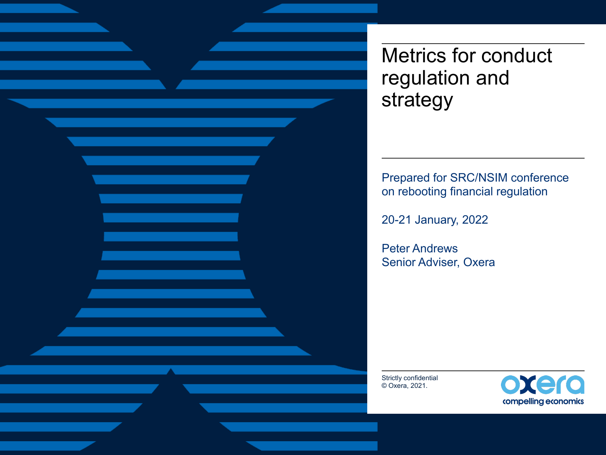Metrics for conduct regulation and strategy

Prepared for SRC/NSIM conference on rebooting financial regulation

20-21 January, 2022

Peter Andrews Senior Adviser, Oxera

Strictly confidential © Oxera, 2021.

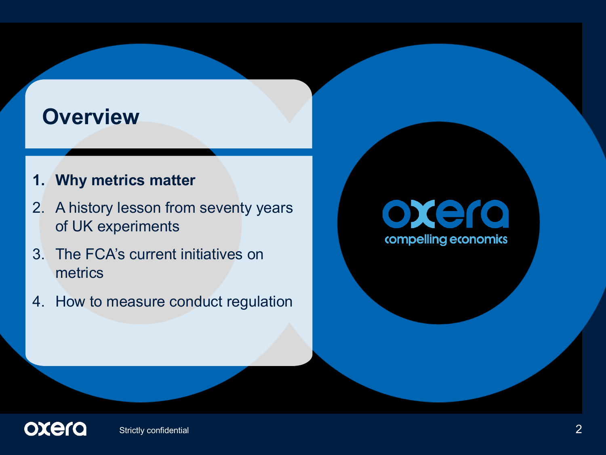#### **Overview**

#### **1. Why metrics matter**

- 2. A history lesson from seventy years of UK experiments
- 3. The FCA's current initiatives on metrics
- 4. How to measure conduct regulation

# oxera compelling economics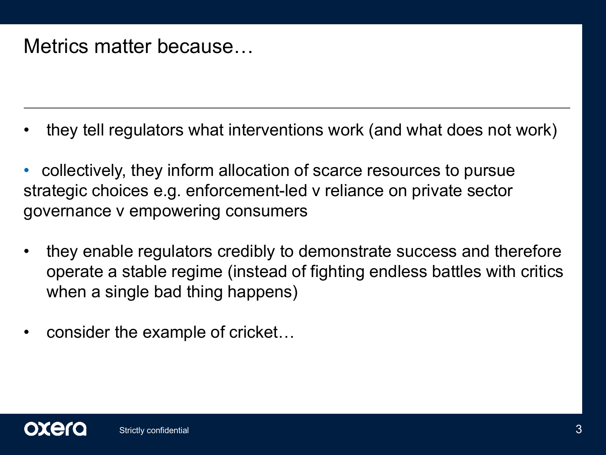#### Metrics matter because…

- they tell regulators what interventions work (and what does not work)
- collectively, they inform allocation of scarce resources to pursue strategic choices e.g. enforcement-led v reliance on private sector governance v empowering consumers
- they enable regulators credibly to demonstrate success and therefore operate a stable regime (instead of fighting endless battles with critics when a single bad thing happens)
- consider the example of cricket…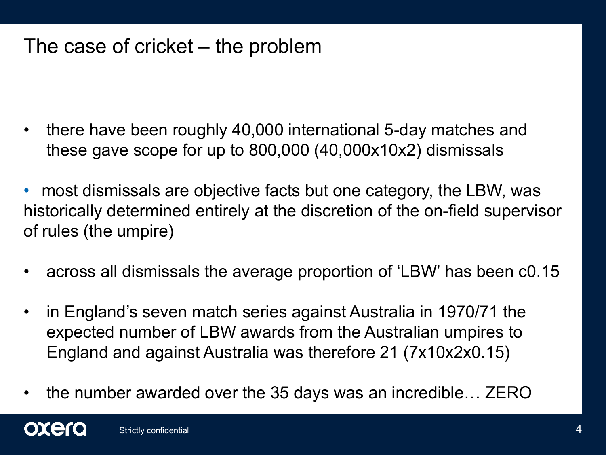#### The case of cricket – the problem

- there have been roughly 40,000 international 5-day matches and these gave scope for up to 800,000 (40,000x10x2) dismissals
- most dismissals are objective facts but one category, the LBW, was historically determined entirely at the discretion of the on-field supervisor of rules (the umpire)
- across all dismissals the average proportion of 'LBW' has been c0.15
- in England's seven match series against Australia in 1970/71 the expected number of LBW awards from the Australian umpires to England and against Australia was therefore 21 (7x10x2x0.15)
- the number awarded over the 35 days was an incredible… ZERO

oxero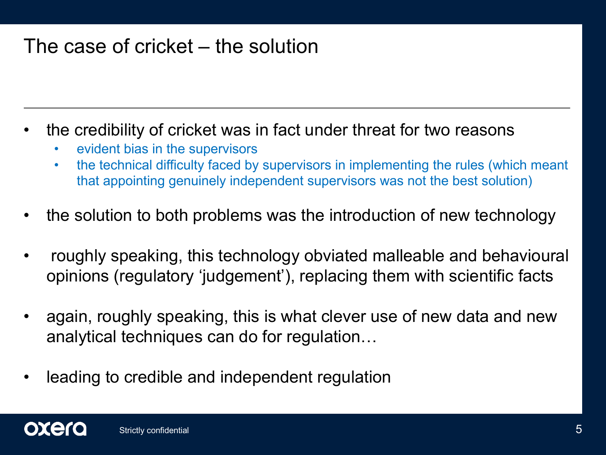#### The case of cricket – the solution

- the credibility of cricket was in fact under threat for two reasons
	- evident bias in the supervisors
	- the technical difficulty faced by supervisors in implementing the rules (which meant that appointing genuinely independent supervisors was not the best solution)
- the solution to both problems was the introduction of new technology
- roughly speaking, this technology obviated malleable and behavioural opinions (regulatory 'judgement'), replacing them with scientific facts
- again, roughly speaking, this is what clever use of new data and new analytical techniques can do for regulation…
- leading to credible and independent regulation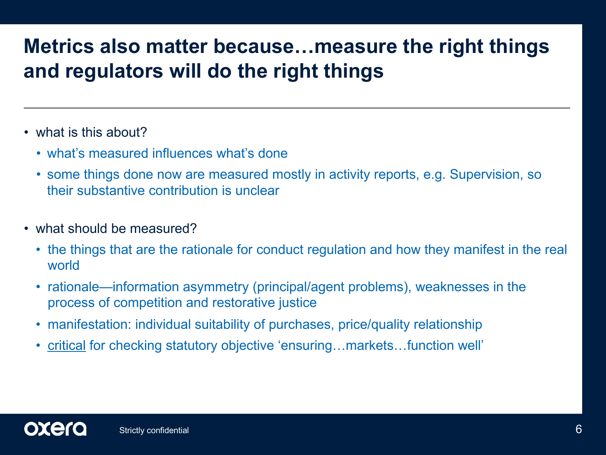#### **Metrics also matter because…measure the right things and regulators will do the right things**

- what is this about?
	- what's measured influences what's done
	- some things done now are measured mostly in activity reports, e.g. Supervision, so their substantive contribution is unclear
- what should be measured?
	- the things that are the rationale for conduct regulation and how they manifest in the real world
	- rationale—information asymmetry (principal/agent problems), weaknesses in the process of competition and restorative justice
	- manifestation: individual suitability of purchases, price/quality relationship
	- critical for checking statutory objective 'ensuring...markets...function well'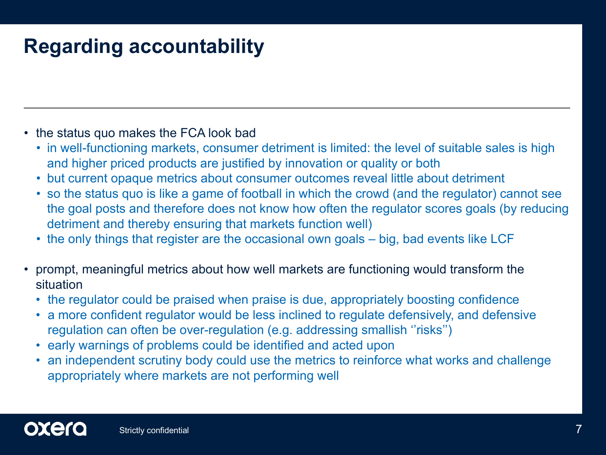#### **Regarding accountability**

- the status quo makes the FCA look bad
	- in well-functioning markets, consumer detriment is limited: the level of suitable sales is high and higher priced products are justified by innovation or quality or both
	- but current opaque metrics about consumer outcomes reveal little about detriment
	- so the status quo is like a game of football in which the crowd (and the regulator) cannot see the goal posts and therefore does not know how often the regulator scores goals (by reducing detriment and thereby ensuring that markets function well)
	- the only things that register are the occasional own goals big, bad events like LCF
- prompt, meaningful metrics about how well markets are functioning would transform the situation
	- the regulator could be praised when praise is due, appropriately boosting confidence
	- a more confident regulator would be less inclined to regulate defensively, and defensive regulation can often be over-regulation (e.g. addressing smallish "risks")
	- early warnings of problems could be identified and acted upon
	- an independent scrutiny body could use the metrics to reinforce what works and challenge appropriately where markets are not performing well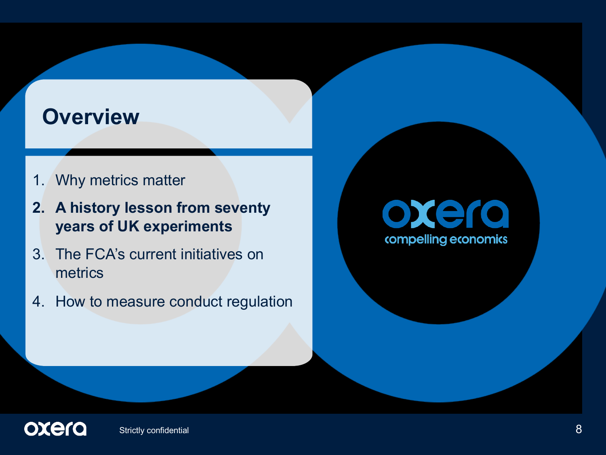#### **Overview**

- 1. Why metrics matter
- **2. A history lesson from seventy years of UK experiments**
- 3. The FCA's current initiatives on metrics
- 4. How to measure conduct regulation

### oxera compelling economics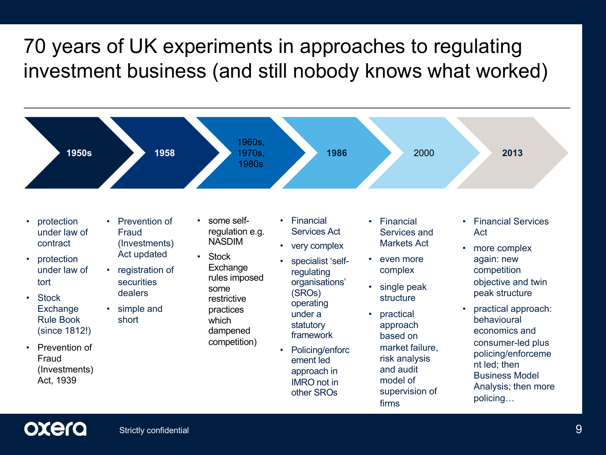#### 70 years of UK experiments in approaches to regulating investment business (and still nobody knows what worked)



- protection under law of tort
- Stock Exchange Rule Book (since 1812!)
- Prevention of Fraud (Investments) Act, 1939

• Prevention of Fraud (Investments) Act updated

**1950s 1958**

- registration of securities dealers
- simple and short

• some selfregulation e.g. NASDIM

1960s, 1970s, 1980s

- Stock Exchange rules imposed some restrictive practices which dampened competition)
- Financial Services Act
- very complex
- specialist 'selfregulating organisations' (SROs) operating under a statutory framework
- Policing/enforc ement led approach in IMRO not in other SROs

• Financial Services and Markets Act

**1986** 2000 **2013**

- even more complex
- single peak structure
- practical approach based on market failure, risk analysis and audit model of supervision of firms
- Financial Services Act
- more complex again: new competition objective and twin peak structure
- practical approach: behavioural economics and consumer-led plus policing/enforceme nt led; then Business Model Analysis; then more policing…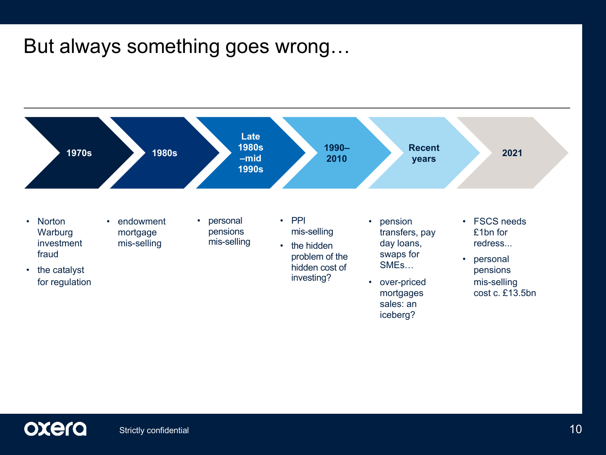#### But always something goes wrong…

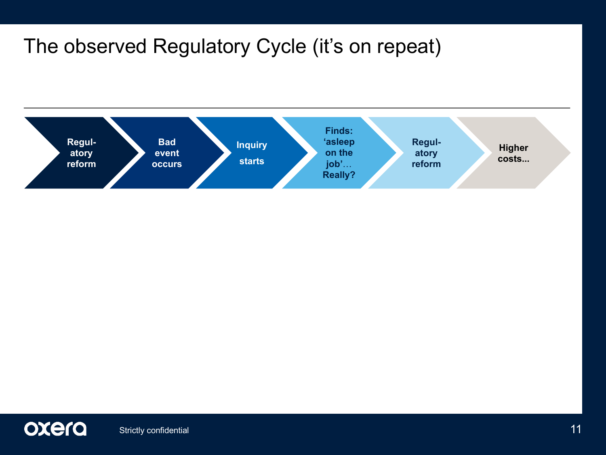#### The observed Regulatory Cycle (it's on repeat)



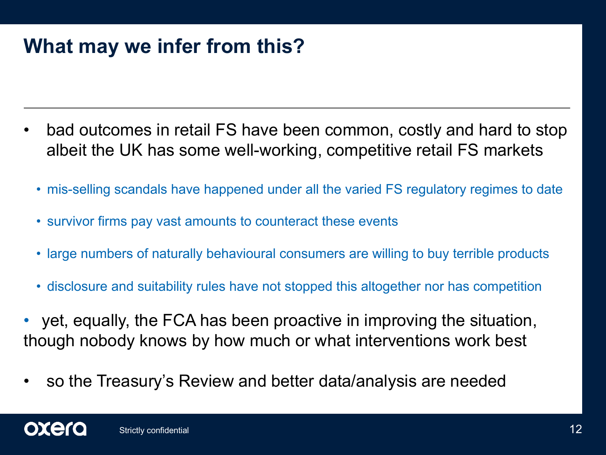#### **What may we infer from this?**

- bad outcomes in retail FS have been common, costly and hard to stop albeit the UK has some well-working, competitive retail FS markets
	- mis-selling scandals have happened under all the varied FS regulatory regimes to date
	- survivor firms pay vast amounts to counteract these events
	- large numbers of naturally behavioural consumers are willing to buy terrible products
	- disclosure and suitability rules have not stopped this altogether nor has competition
- yet, equally, the FCA has been proactive in improving the situation, though nobody knows by how much or what interventions work best
- so the Treasury's Review and better data/analysis are needed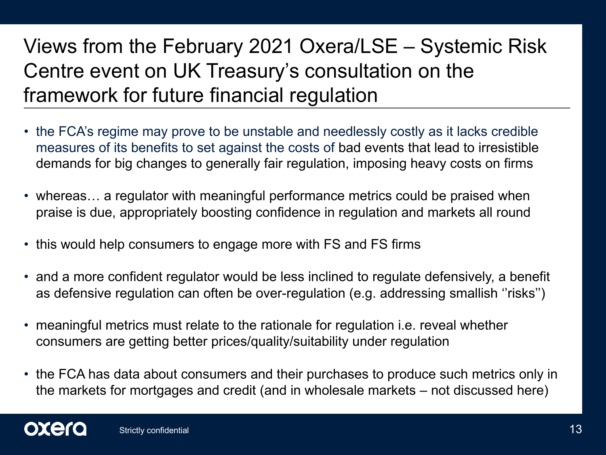#### Views from the February 2021 Oxera/LSE – Systemic Risk Centre event on UK Treasury's consultation on the framework for future financial regulation

- the FCA's regime may prove to be unstable and needlessly costly as it lacks credible measures of its benefits to set against the costs of bad events that lead to irresistible demands for big changes to generally fair regulation, imposing heavy costs on firms
- whereas... a regulator with meaningful performance metrics could be praised when praise is due, appropriately boosting confidence in regulation and markets all round
- this would help consumers to engage more with FS and FS firms
- and a more confident regulator would be less inclined to regulate defensively, a benefit as defensive regulation can often be over-regulation (e.g. addressing smallish ''risks'')
- meaningful metrics must relate to the rationale for regulation i.e. reveal whether consumers are getting better prices/quality/suitability under regulation
- the FCA has data about consumers and their purchases to produce such metrics only in the markets for mortgages and credit (and in wholesale markets – not discussed here)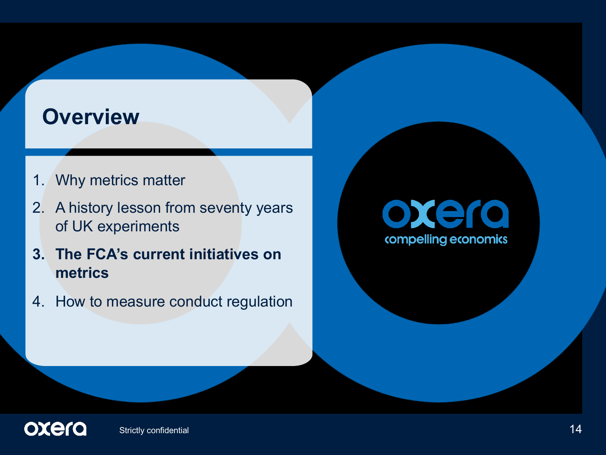#### **Overview**

- 1. Why metrics matter
- 2. A history lesson from seventy years of UK experiments
- **3. The FCA's current initiatives on metrics**
- 4. How to measure conduct regulation

# oxera compelling economics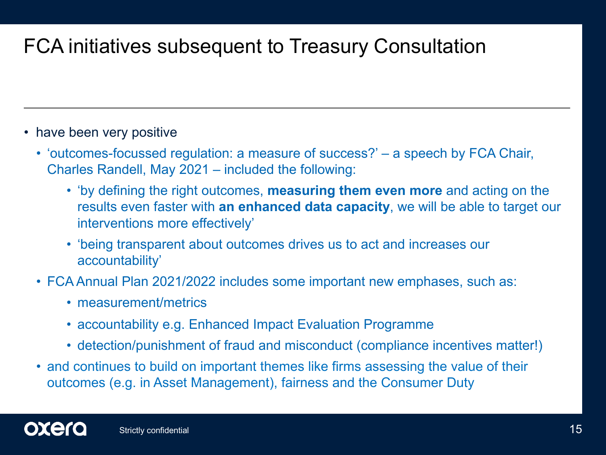#### FCA initiatives subsequent to Treasury Consultation

- have been very positive
	- 'outcomes-focussed regulation: a measure of success?' a speech by FCA Chair, Charles Randell, May 2021 – included the following:
		- 'by defining the right outcomes, **measuring them even more** and acting on the results even faster with **an enhanced data capacity**, we will be able to target our interventions more effectively'
		- 'being transparent about outcomes drives us to act and increases our accountability'
	- FCA Annual Plan 2021/2022 includes some important new emphases, such as:
		- measurement/metrics
		- accountability e.g. Enhanced Impact Evaluation Programme
		- detection/punishment of fraud and misconduct (compliance incentives matter!)
	- and continues to build on important themes like firms assessing the value of their outcomes (e.g. in Asset Management), fairness and the Consumer Duty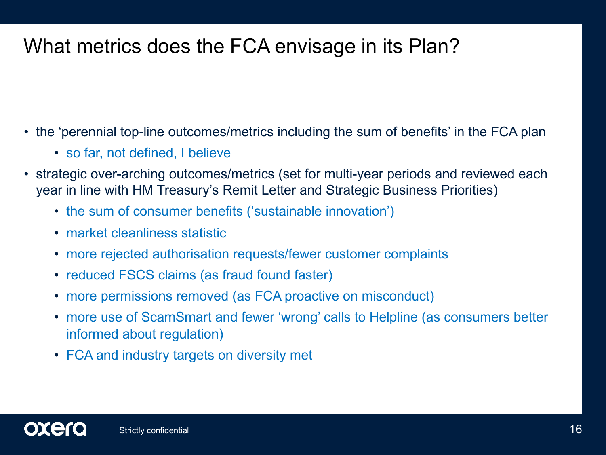#### What metrics does the FCA envisage in its Plan?

- the 'perennial top-line outcomes/metrics including the sum of benefits' in the FCA plan
	- so far, not defined, I believe
- strategic over-arching outcomes/metrics (set for multi-year periods and reviewed each year in line with HM Treasury's Remit Letter and Strategic Business Priorities)
	- the sum of consumer benefits ('sustainable innovation')
	- market cleanliness statistic
	- more rejected authorisation requests/fewer customer complaints
	- reduced FSCS claims (as fraud found faster)
	- more permissions removed (as FCA proactive on misconduct)
	- more use of ScamSmart and fewer 'wrong' calls to Helpline (as consumers better informed about regulation)
	- FCA and industry targets on diversity met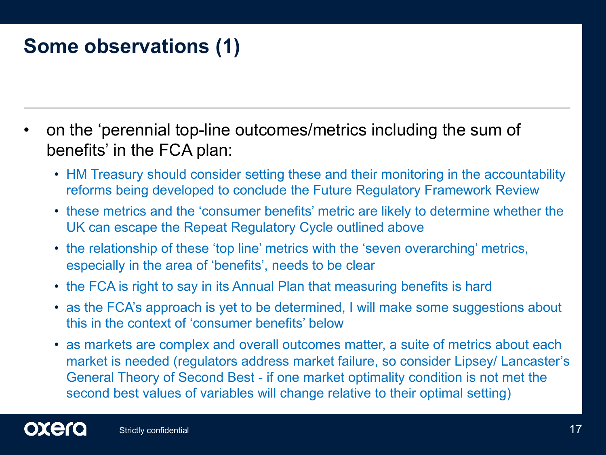#### **Some observations (1)**

- on the 'perennial top-line outcomes/metrics including the sum of benefits' in the FCA plan:
	- HM Treasury should consider setting these and their monitoring in the accountability reforms being developed to conclude the Future Regulatory Framework Review
	- these metrics and the 'consumer benefits' metric are likely to determine whether the UK can escape the Repeat Regulatory Cycle outlined above
	- the relationship of these 'top line' metrics with the 'seven overarching' metrics, especially in the area of 'benefits', needs to be clear
	- the FCA is right to say in its Annual Plan that measuring benefits is hard
	- as the FCA's approach is yet to be determined, I will make some suggestions about this in the context of 'consumer benefits' below
	- as markets are complex and overall outcomes matter, a suite of metrics about each market is needed (regulators address market failure, so consider Lipsey/ Lancaster's General Theory of Second Best - if one market optimality condition is not met the second best values of variables will change relative to their optimal setting)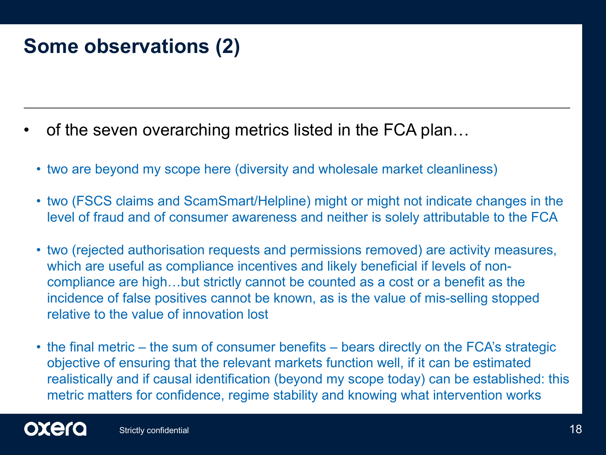#### **Some observations (2)**

- of the seven overarching metrics listed in the FCA plan…
	- two are beyond my scope here (diversity and wholesale market cleanliness)
	- two (FSCS claims and ScamSmart/Helpline) might or might not indicate changes in the level of fraud and of consumer awareness and neither is solely attributable to the FCA
	- two (rejected authorisation requests and permissions removed) are activity measures, which are useful as compliance incentives and likely beneficial if levels of noncompliance are high…but strictly cannot be counted as a cost or a benefit as the incidence of false positives cannot be known, as is the value of mis-selling stopped relative to the value of innovation lost
	- the final metric the sum of consumer benefits bears directly on the FCA's strategic objective of ensuring that the relevant markets function well, if it can be estimated realistically and if causal identification (beyond my scope today) can be established: this metric matters for confidence, regime stability and knowing what intervention works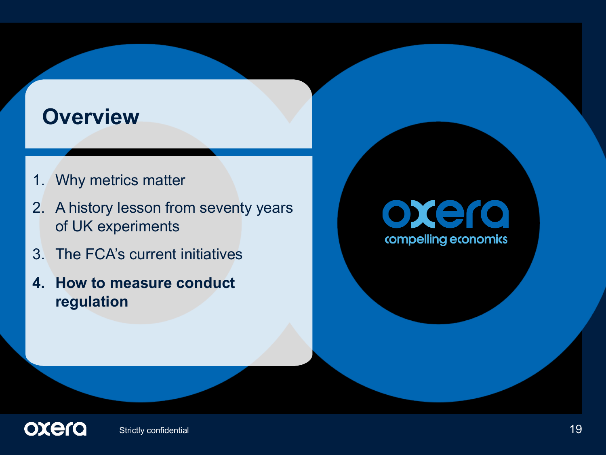#### **Overview**

- 1. Why metrics matter
- 2. A history lesson from seventy years of UK experiments
- 3. The FCA's current initiatives
- **4. How to measure conduct regulation**

# oxera compelling economics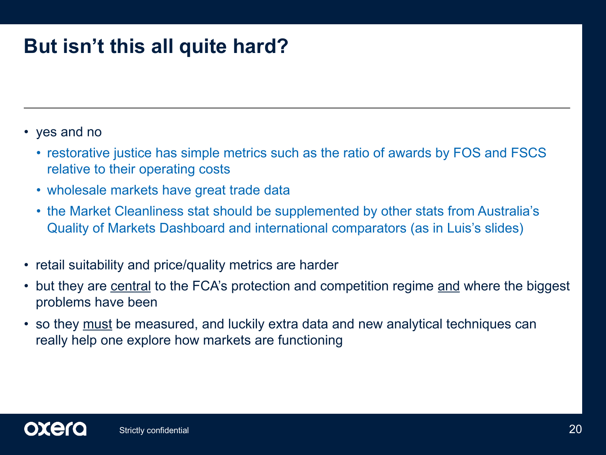#### **But isn't this all quite hard?**

- yes and no
	- restorative justice has simple metrics such as the ratio of awards by FOS and FSCS relative to their operating costs
	- wholesale markets have great trade data
	- the Market Cleanliness stat should be supplemented by other stats from Australia's Quality of Markets Dashboard and international comparators (as in Luis's slides)
- retail suitability and price/quality metrics are harder
- but they are central to the FCA's protection and competition regime and where the biggest problems have been
- so they must be measured, and luckily extra data and new analytical techniques can really help one explore how markets are functioning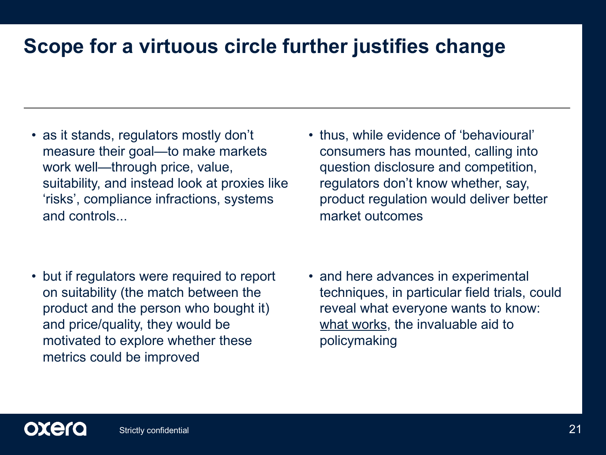#### **Scope for a virtuous circle further justifies change**

• as it stands, regulators mostly don't measure their goal—to make markets work well—through price, value, suitability, and instead look at proxies like 'risks', compliance infractions, systems and controls...

• but if regulators were required to report on suitability (the match between the product and the person who bought it) and price/quality, they would be motivated to explore whether these metrics could be improved

• thus, while evidence of 'behavioural' consumers has mounted, calling into question disclosure and competition, regulators don't know whether, say, product regulation would deliver better market outcomes

• and here advances in experimental techniques, in particular field trials, could reveal what everyone wants to know: what works, the invaluable aid to policymaking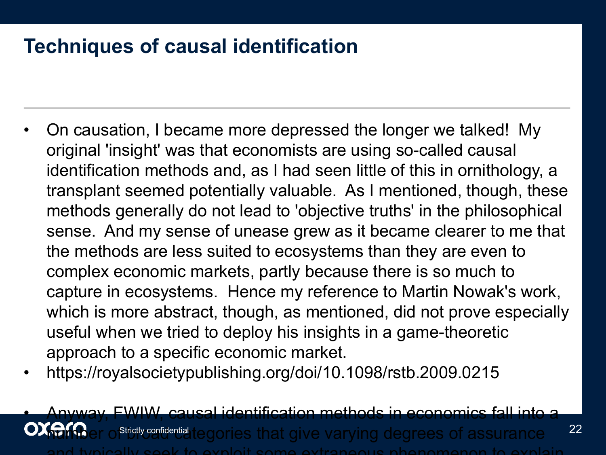#### **Techniques of causal identification**

- On causation, I became more depressed the longer we talked! My original 'insight' was that economists are using so-called causal identification methods and, as I had seen little of this in ornithology, a transplant seemed potentially valuable. As I mentioned, though, these methods generally do not lead to 'objective truths' in the philosophical sense. And my sense of unease grew as it became clearer to me that the methods are less suited to ecosystems than they are even to complex economic markets, partly because there is so much to capture in ecosystems. Hence my reference to Martin Nowak's work, which is more abstract, though, as mentioned, did not prove especially useful when we tried to deploy his insights in a game-theoretic approach to a specific economic market.
- https://royalsocietypublishing.org/doi/10.1098/rstb.2009.0215

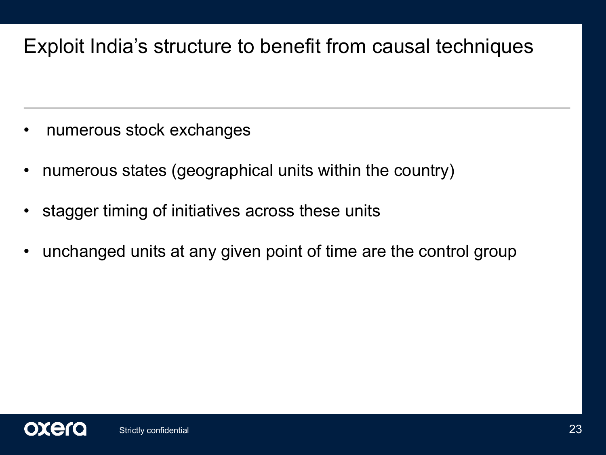#### Exploit India's structure to benefit from causal techniques

- numerous stock exchanges
- numerous states (geographical units within the country)
- stagger timing of initiatives across these units
- unchanged units at any given point of time are the control group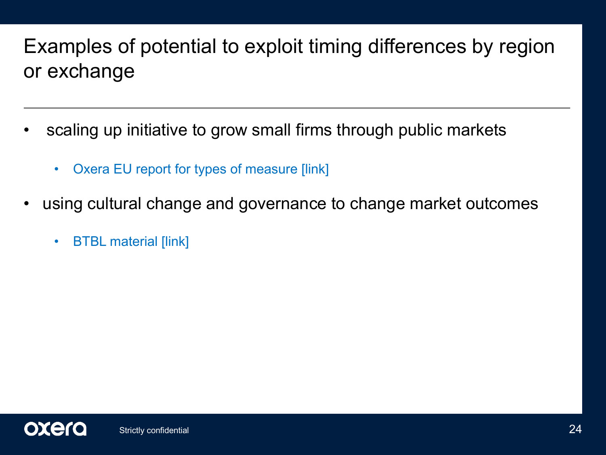#### Examples of potential to exploit timing differences by region or exchange

- scaling up initiative to grow small firms through public markets
	- Oxera EU report for types of measure [link]
- using cultural change and governance to change market outcomes
	- BTBL material [link]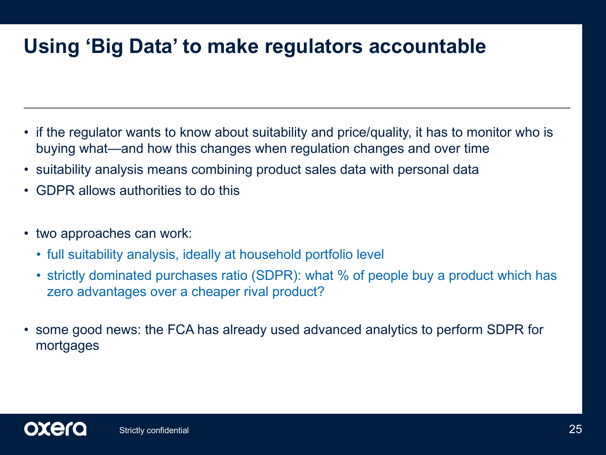#### **Using 'Big Data' to make regulators accountable**

- if the regulator wants to know about suitability and price/quality, it has to monitor who is buying what—and how this changes when regulation changes and over time
- suitability analysis means combining product sales data with personal data
- GDPR allows authorities to do this
- two approaches can work:
	- full suitability analysis, ideally at household portfolio level
	- strictly dominated purchases ratio (SDPR): what % of people buy a product which has zero advantages over a cheaper rival product?
- some good news: the FCA has already used advanced analytics to perform SDPR for mortgages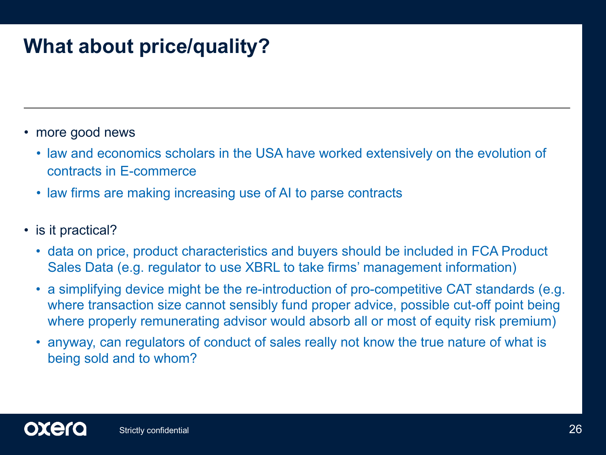#### **What about price/quality?**

- more good news
	- law and economics scholars in the USA have worked extensively on the evolution of contracts in E-commerce
	- law firms are making increasing use of AI to parse contracts
- is it practical?
	- data on price, product characteristics and buyers should be included in FCA Product Sales Data (e.g. regulator to use XBRL to take firms' management information)
	- a simplifying device might be the re-introduction of pro-competitive CAT standards (e.g. where transaction size cannot sensibly fund proper advice, possible cut-off point being where properly remunerating advisor would absorb all or most of equity risk premium)
	- anyway, can regulators of conduct of sales really not know the true nature of what is being sold and to whom?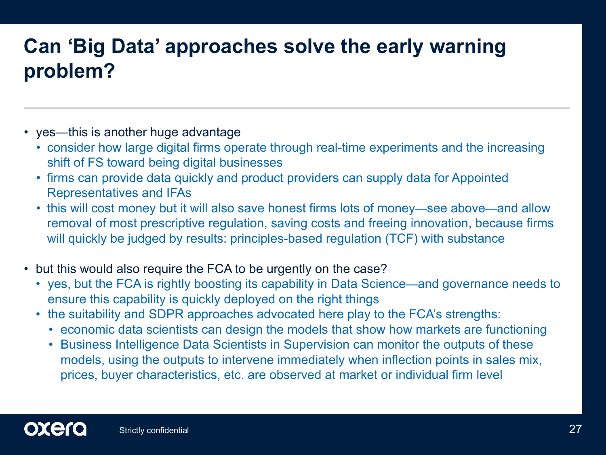#### **Can 'Big Data' approaches solve the early warning problem?**

- yes—this is another huge advantage
	- consider how large digital firms operate through real-time experiments and the increasing shift of FS toward being digital businesses
	- firms can provide data quickly and product providers can supply data for Appointed Representatives and IFAs
	- this will cost money but it will also save honest firms lots of money—see above—and allow removal of most prescriptive regulation, saving costs and freeing innovation, because firms will quickly be judged by results: principles-based regulation (TCF) with substance
- but this would also require the FCA to be urgently on the case?
	- yes, but the FCA is rightly boosting its capability in Data Science—and governance needs to ensure this capability is quickly deployed on the right things
	- the suitability and SDPR approaches advocated here play to the FCA's strengths:
		- economic data scientists can design the models that show how markets are functioning
		- Business Intelligence Data Scientists in Supervision can monitor the outputs of these models, using the outputs to intervene immediately when inflection points in sales mix, prices, buyer characteristics, etc. are observed at market or individual firm level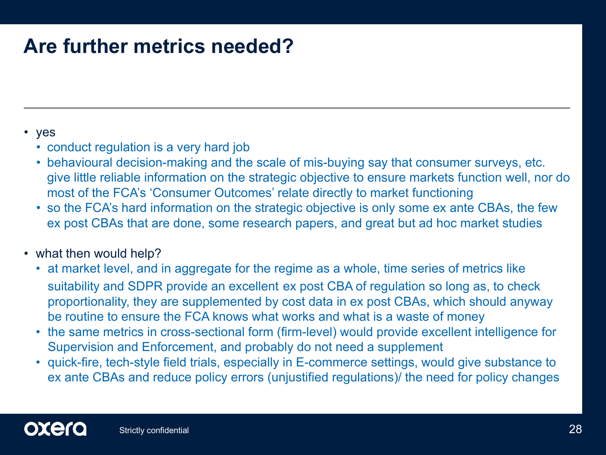#### **Are further metrics needed?**

#### • yes

- conduct regulation is a very hard job
- behavioural decision-making and the scale of mis-buying say that consumer surveys, etc. give little reliable information on the strategic objective to ensure markets function well, nor do most of the FCA's 'Consumer Outcomes' relate directly to market functioning
- so the FCA's hard information on the strategic objective is only some ex ante CBAs, the few ex post CBAs that are done, some research papers, and great but ad hoc market studies

#### • what then would help?

- at market level, and in aggregate for the regime as a whole, time series of metrics like suitability and SDPR provide an excellent ex post CBA of regulation so long as, to check proportionality, they are supplemented by cost data in ex post CBAs, which should anyway be routine to ensure the FCA knows what works and what is a waste of money
- the same metrics in cross-sectional form (firm-level) would provide excellent intelligence for Supervision and Enforcement, and probably do not need a supplement
- quick-fire, tech-style field trials, especially in E-commerce settings, would give substance to ex ante CBAs and reduce policy errors (unjustified regulations)/ the need for policy changes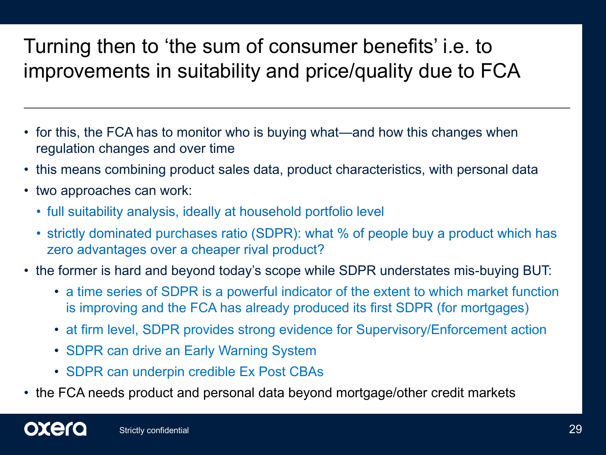#### Turning then to 'the sum of consumer benefits' i.e. to improvements in suitability and price/quality due to FCA

- for this, the FCA has to monitor who is buying what—and how this changes when regulation changes and over time
- this means combining product sales data, product characteristics, with personal data
- two approaches can work:
	- full suitability analysis, ideally at household portfolio level
	- strictly dominated purchases ratio (SDPR): what % of people buy a product which has zero advantages over a cheaper rival product?
- the former is hard and beyond today's scope while SDPR understates mis-buying BUT:
	- a time series of SDPR is a powerful indicator of the extent to which market function is improving and the FCA has already produced its first SDPR (for mortgages)
	- at firm level, SDPR provides strong evidence for Supervisory/Enforcement action
	- SDPR can drive an Early Warning System
	- SDPR can underpin credible Ex Post CBAs
- the FCA needs product and personal data beyond mortgage/other credit markets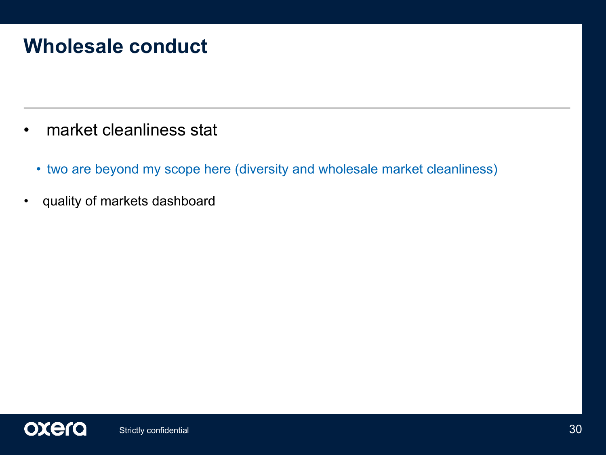#### **Wholesale conduct**

- market cleanliness stat
	- two are beyond my scope here (diversity and wholesale market cleanliness)
- quality of markets dashboard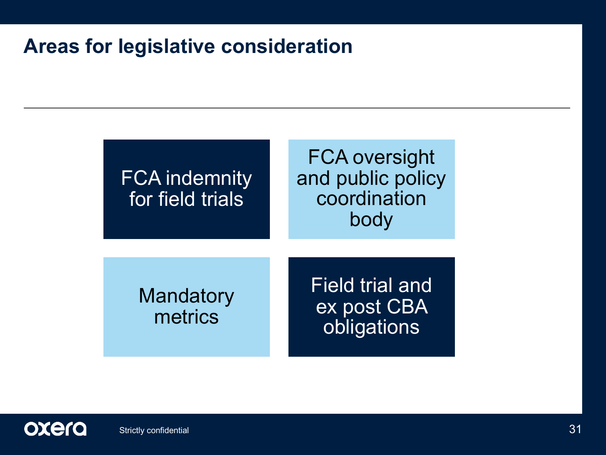#### **Areas for legislative consideration**



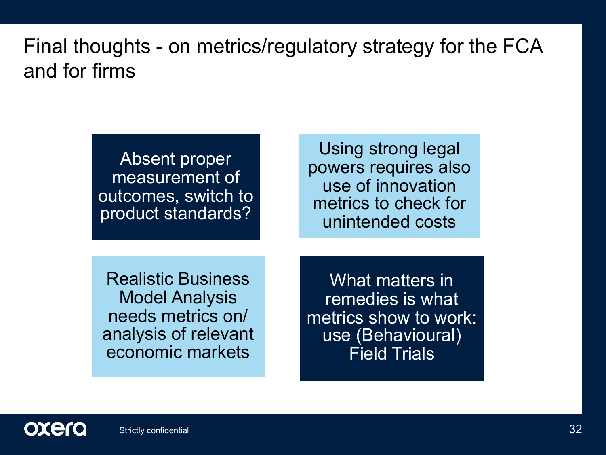#### Final thoughts - on metrics/regulatory strategy for the FCA and for firms

| Absent proper<br>measurement of<br>outcomes, switch to<br>product standards?                                        | Using strong legal<br>powers requires also<br>use of innovation<br>metrics to check for<br>unintended costs |
|---------------------------------------------------------------------------------------------------------------------|-------------------------------------------------------------------------------------------------------------|
| <b>Realistic Business</b><br><b>Model Analysis</b><br>needs metrics on/<br>analysis of relevant<br>economic markets | What matters in<br>remedies is what<br>metrics show to work:<br>use (Behavioural)<br><b>Field Trials</b>    |